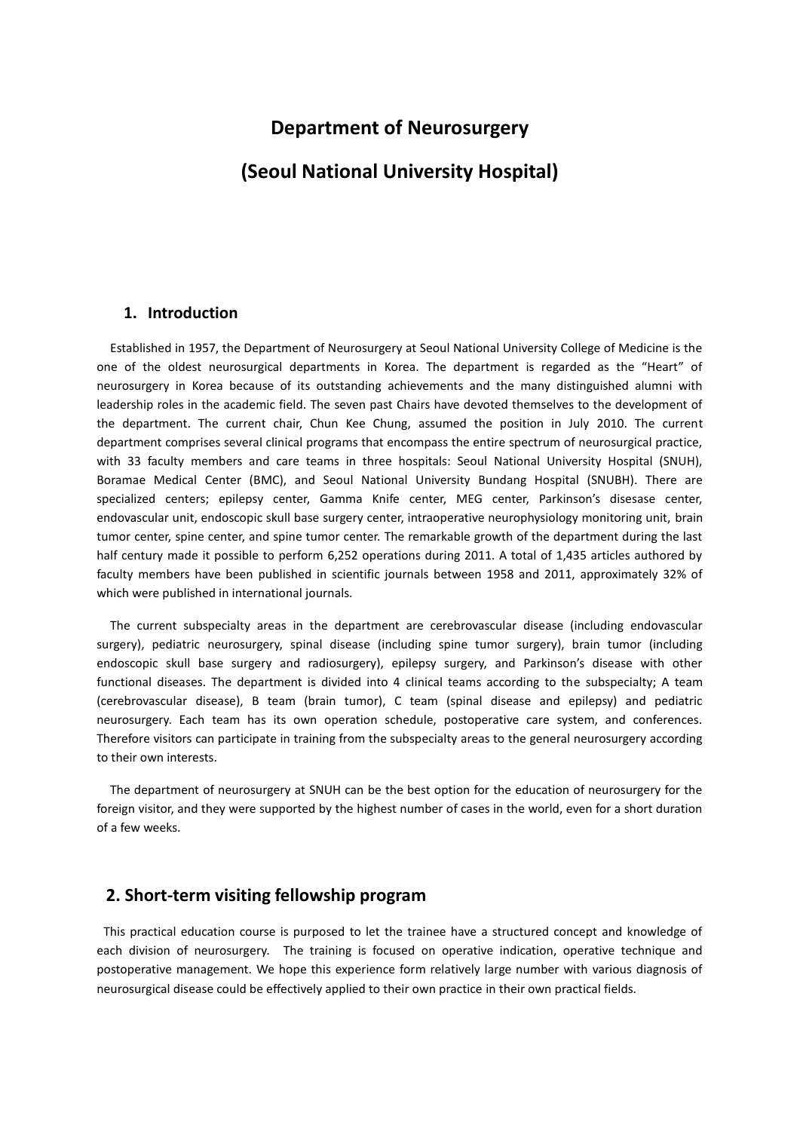## **Department of Neurosurgery**

## **(Seoul National University Hospital)**

#### **1. Introduction**

Established in 1957, the Department of Neurosurgery at Seoul National University College of Medicine is the one of the oldest neurosurgical departments in Korea. The department is regarded as the "Heart" of neurosurgery in Korea because of its outstanding achievements and the many distinguished alumni with leadership roles in the academic field. The seven past Chairs have devoted themselves to the development of the department. The current chair, Chun Kee Chung, assumed the position in July 2010. The current department comprises several clinical programs that encompass the entire spectrum of neurosurgical practice, with 33 faculty members and care teams in three hospitals: Seoul National University Hospital (SNUH), Boramae Medical Center (BMC), and Seoul National University Bundang Hospital (SNUBH). There are specialized centers; epilepsy center, Gamma Knife center, MEG center, Parkinson's disesase center, endovascular unit, endoscopic skull base surgery center, intraoperative neurophysiology monitoring unit, brain tumor center, spine center, and spine tumor center. The remarkable growth of the department during the last half century made it possible to perform 6,252 operations during 2011. A total of 1,435 articles authored by faculty members have been published in scientific journals between 1958 and 2011, approximately 32% of which were published in international journals.

The current subspecialty areas in the department are cerebrovascular disease (including endovascular surgery), pediatric neurosurgery, spinal disease (including spine tumor surgery), brain tumor (including endoscopic skull base surgery and radiosurgery), epilepsy surgery, and Parkinson's disease with other functional diseases. The department is divided into 4 clinical teams according to the subspecialty; A team (cerebrovascular disease), B team (brain tumor), C team (spinal disease and epilepsy) and pediatric neurosurgery. Each team has its own operation schedule, postoperative care system, and conferences. Therefore visitors can participate in training from the subspecialty areas to the general neurosurgery according to their own interests.

The department of neurosurgery at SNUH can be the best option for the education of neurosurgery for the foreign visitor, and they were supported by the highest number of cases in the world, even for a short duration of a few weeks.

### **2. Short-term visiting fellowship program**

This practical education course is purposed to let the trainee have a structured concept and knowledge of each division of neurosurgery. The training is focused on operative indication, operative technique and postoperative management. We hope this experience form relatively large number with various diagnosis of neurosurgical disease could be effectively applied to their own practice in their own practical fields.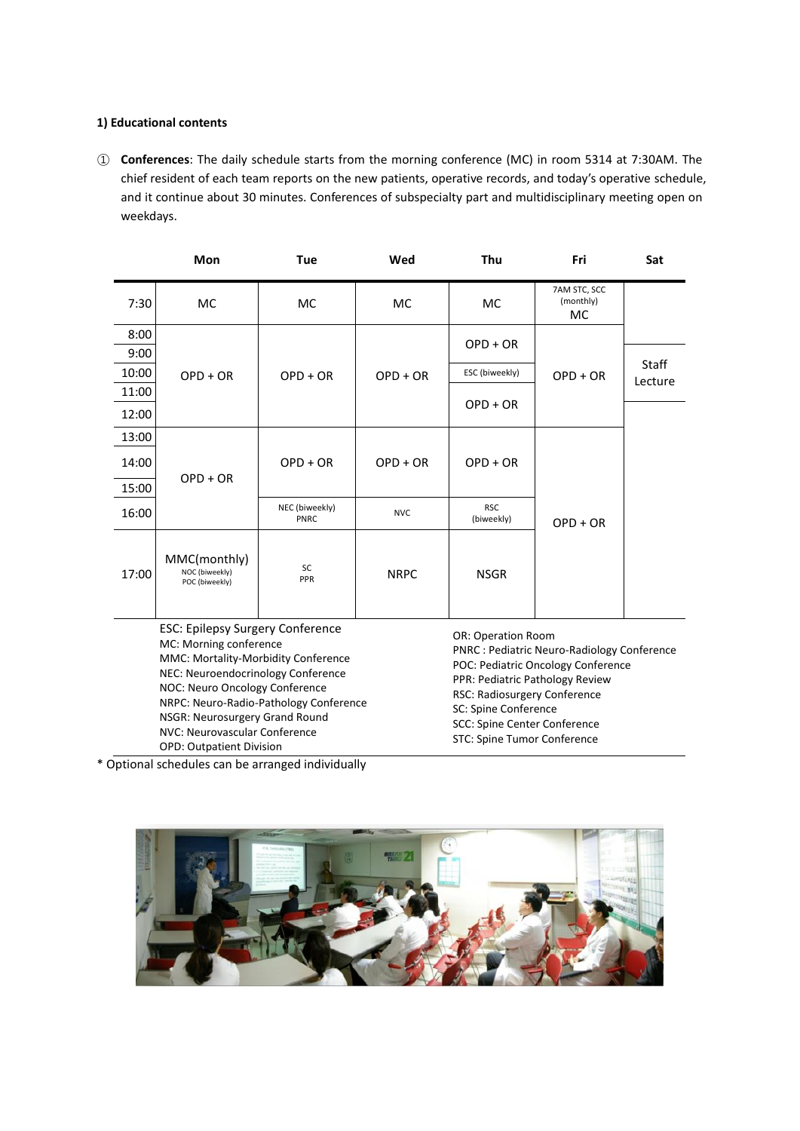#### **1) Educational contents**

① **Conferences**: The daily schedule starts from the morning conference (MC) in room 5314 at 7:30AM. The chief resident of each team reports on the new patients, operative records, and today's operative schedule, and it continue about 30 minutes. Conferences of subspecialty part and multidisciplinary meeting open on weekdays.

|                                                                                                                                                                                                                   | Mon                                              | <b>Tue</b>             | Wed                | Thu                                                                               | Fri                             | Sat     |
|-------------------------------------------------------------------------------------------------------------------------------------------------------------------------------------------------------------------|--------------------------------------------------|------------------------|--------------------|-----------------------------------------------------------------------------------|---------------------------------|---------|
| 7:30                                                                                                                                                                                                              | <b>MC</b>                                        | МC                     | MC                 | <b>MC</b>                                                                         | 7AM STC, SCC<br>(monthly)<br>MC |         |
| 8:00                                                                                                                                                                                                              |                                                  |                        | $OPD + OR$         | $OPD + OR$                                                                        | $OPD + OR$                      |         |
| 9:00                                                                                                                                                                                                              |                                                  | $OPD + OR$             |                    |                                                                                   |                                 | Staff   |
| 10:00                                                                                                                                                                                                             | $OPD + OR$                                       |                        |                    | ESC (biweekly)                                                                    |                                 | Lecture |
| 11:00                                                                                                                                                                                                             |                                                  |                        |                    |                                                                                   |                                 |         |
| 12:00                                                                                                                                                                                                             |                                                  |                        |                    | $OPD + OR$                                                                        |                                 |         |
| 13:00                                                                                                                                                                                                             |                                                  |                        |                    | $OPD + OR$                                                                        |                                 |         |
| 14:00                                                                                                                                                                                                             |                                                  | $OPD + OR$             | $OPD + OR$         |                                                                                   |                                 |         |
| 15:00                                                                                                                                                                                                             | $OPD + OR$                                       |                        |                    |                                                                                   |                                 |         |
| 16:00                                                                                                                                                                                                             |                                                  | NEC (biweekly)<br>PNRC | <b>NVC</b>         | <b>RSC</b><br>(biweekly)                                                          | $OPD + OR$                      |         |
| 17:00                                                                                                                                                                                                             | MMC(monthly)<br>NOC (biweekly)<br>POC (biweekly) | SC<br>PPR              | <b>NRPC</b>        | <b>NSGR</b>                                                                       |                                 |         |
| <b>ESC: Epilepsy Surgery Conference</b><br>MC: Morning conference<br>MMC: Mortality-Morbidity Conference<br>$\mathbf{M} \mathbf{F} \mathbf{C}$ . $\mathbf{M}$ , we have a set of a set of a set of a set of a set |                                                  |                        | OR: Operation Room | PNRC : Pediatric Neuro-Radiology Conference<br>POC: Pediatric Oncology Conference |                                 |         |

NEC: Neuroendocrinology Conference NOC: Neuro Oncology Conference NRPC: Neuro-Radio-Pathology Conference NSGR: Neurosurgery Grand Round NVC: Neurovascular Conference OPD: Outpatient Division PPR: Pediatric Pathology Review RSC: Radiosurgery Conference SC: Spine Conference SCC: Spine Center Conference STC: Spine Tumor Conference

\* Optional schedules can be arranged individually

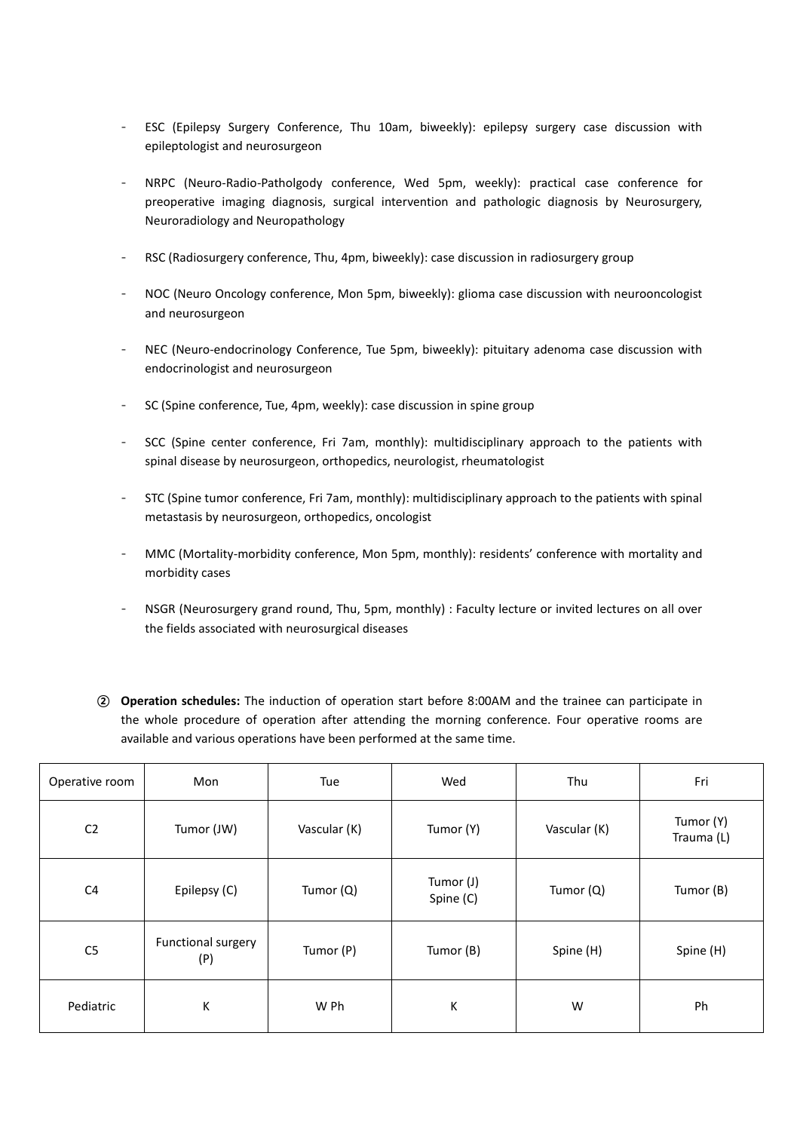- ESC (Epilepsy Surgery Conference, Thu 10am, biweekly): epilepsy surgery case discussion with epileptologist and neurosurgeon
- NRPC (Neuro-Radio-Patholgody conference, Wed 5pm, weekly): practical case conference for preoperative imaging diagnosis, surgical intervention and pathologic diagnosis by Neurosurgery, Neuroradiology and Neuropathology
- RSC (Radiosurgery conference, Thu, 4pm, biweekly): case discussion in radiosurgery group
- NOC (Neuro Oncology conference, Mon 5pm, biweekly): glioma case discussion with neurooncologist and neurosurgeon
- NEC (Neuro-endocrinology Conference, Tue 5pm, biweekly): pituitary adenoma case discussion with endocrinologist and neurosurgeon
- SC (Spine conference, Tue, 4pm, weekly): case discussion in spine group
- SCC (Spine center conference, Fri 7am, monthly): multidisciplinary approach to the patients with spinal disease by neurosurgeon, orthopedics, neurologist, rheumatologist
- STC (Spine tumor conference, Fri 7am, monthly): multidisciplinary approach to the patients with spinal metastasis by neurosurgeon, orthopedics, oncologist
- MMC (Mortality-morbidity conference, Mon 5pm, monthly): residents' conference with mortality and morbidity cases
- NSGR (Neurosurgery grand round, Thu, 5pm, monthly) : Faculty lecture or invited lectures on all over the fields associated with neurosurgical diseases
- ② **Operation schedules:** The induction of operation start before 8:00AM and the trainee can participate in the whole procedure of operation after attending the morning conference. Four operative rooms are available and various operations have been performed at the same time.

| Operative room | Mon                       | Tue          | Wed                    | Thu          | Fri                     |
|----------------|---------------------------|--------------|------------------------|--------------|-------------------------|
| C <sub>2</sub> | Tumor (JW)                | Vascular (K) | Tumor (Y)              | Vascular (K) | Tumor (Y)<br>Trauma (L) |
| C <sub>4</sub> | Epilepsy (C)              | Tumor (Q)    | Tumor (J)<br>Spine (C) | Tumor (Q)    | Tumor (B)               |
| C <sub>5</sub> | Functional surgery<br>(P) | Tumor (P)    | Tumor (B)              | Spine (H)    | Spine (H)               |
| Pediatric      | К                         | W Ph         | K                      | W            | Ph                      |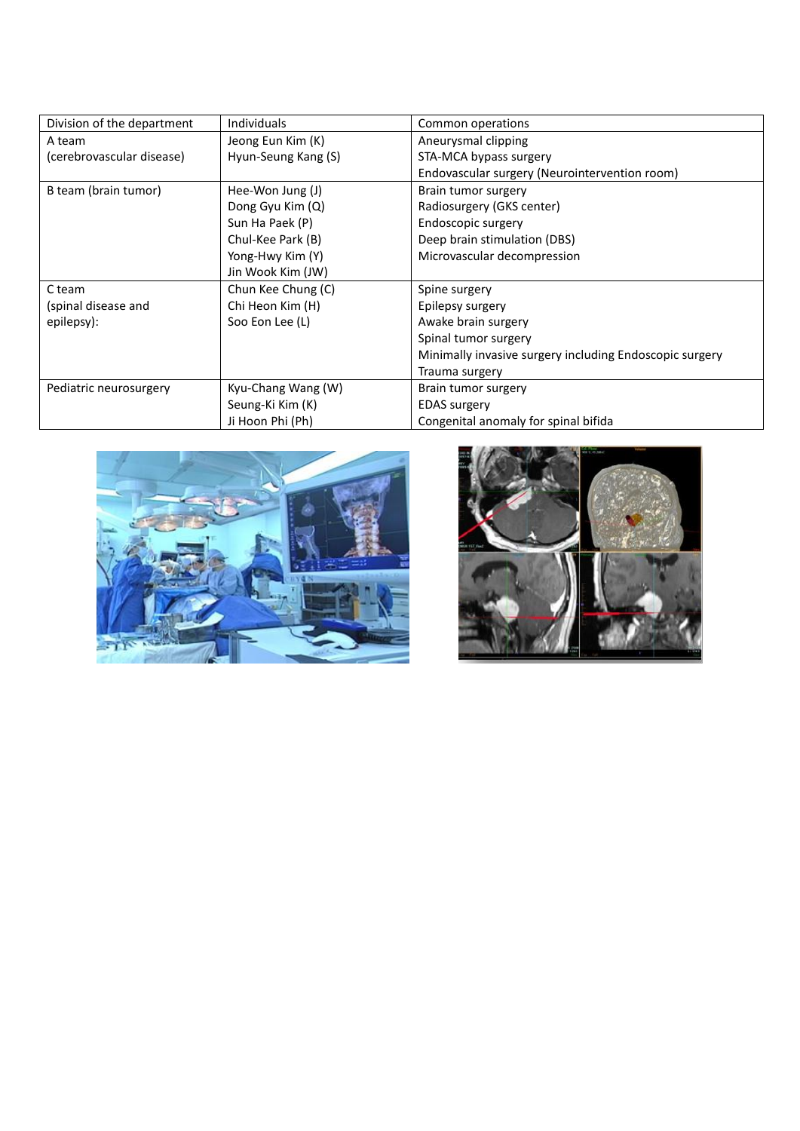| Division of the department | <b>Individuals</b>  | Common operations                                       |
|----------------------------|---------------------|---------------------------------------------------------|
| A team                     | Jeong Eun Kim (K)   | Aneurysmal clipping                                     |
| (cerebrovascular disease)  | Hyun-Seung Kang (S) | STA-MCA bypass surgery                                  |
|                            |                     | Endovascular surgery (Neurointervention room)           |
| B team (brain tumor)       | Hee-Won Jung (J)    | Brain tumor surgery                                     |
|                            | Dong Gyu Kim (Q)    | Radiosurgery (GKS center)                               |
|                            | Sun Ha Paek (P)     | Endoscopic surgery                                      |
|                            | Chul-Kee Park (B)   | Deep brain stimulation (DBS)                            |
|                            | Yong-Hwy Kim (Y)    | Microvascular decompression                             |
|                            | Jin Wook Kim (JW)   |                                                         |
| C team                     | Chun Kee Chung (C)  | Spine surgery                                           |
| (spinal disease and        | Chi Heon Kim (H)    | Epilepsy surgery                                        |
| epilepsy):                 | Soo Eon Lee (L)     | Awake brain surgery                                     |
|                            |                     | Spinal tumor surgery                                    |
|                            |                     | Minimally invasive surgery including Endoscopic surgery |
|                            |                     | Trauma surgery                                          |
| Pediatric neurosurgery     | Kyu-Chang Wang (W)  | Brain tumor surgery                                     |
|                            | Seung-Ki Kim (K)    | <b>EDAS</b> surgery                                     |
|                            | Ji Hoon Phi (Ph)    | Congenital anomaly for spinal bifida                    |



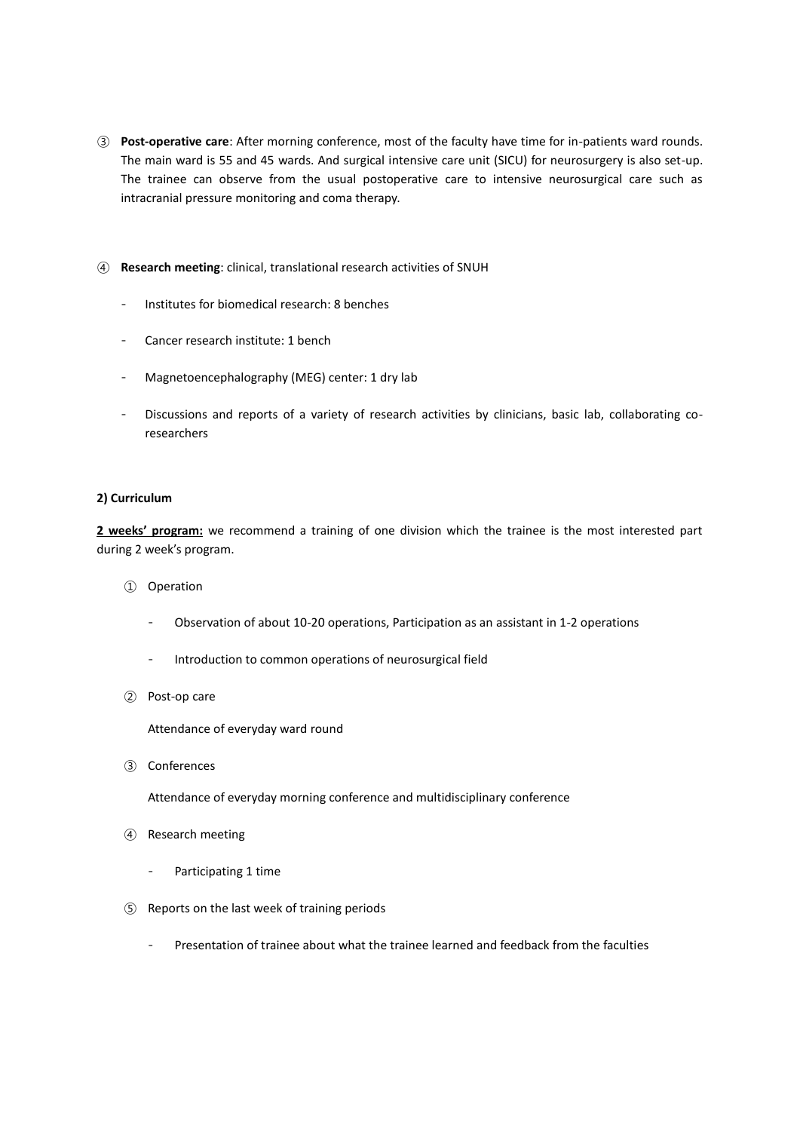- ③ **Post-operative care**: After morning conference, most of the faculty have time for in-patients ward rounds. The main ward is 55 and 45 wards. And surgical intensive care unit (SICU) for neurosurgery is also set-up. The trainee can observe from the usual postoperative care to intensive neurosurgical care such as intracranial pressure monitoring and coma therapy.
- ④ **Research meeting**: clinical, translational research activities of SNUH
	- Institutes for biomedical research: 8 benches
	- Cancer research institute: 1 bench
	- Magnetoencephalography (MEG) center: 1 dry lab
	- Discussions and reports of a variety of research activities by clinicians, basic lab, collaborating coresearchers

#### **2) Curriculum**

**2 weeks' program:** we recommend a training of one division which the trainee is the most interested part during 2 week's program.

- ① Operation
	- Observation of about 10-20 operations, Participation as an assistant in 1-2 operations
	- Introduction to common operations of neurosurgical field
- ② Post-op care

Attendance of everyday ward round

③ Conferences

Attendance of everyday morning conference and multidisciplinary conference

- ④ Research meeting
	- Participating 1 time
- ⑤ Reports on the last week of training periods
	- Presentation of trainee about what the trainee learned and feedback from the faculties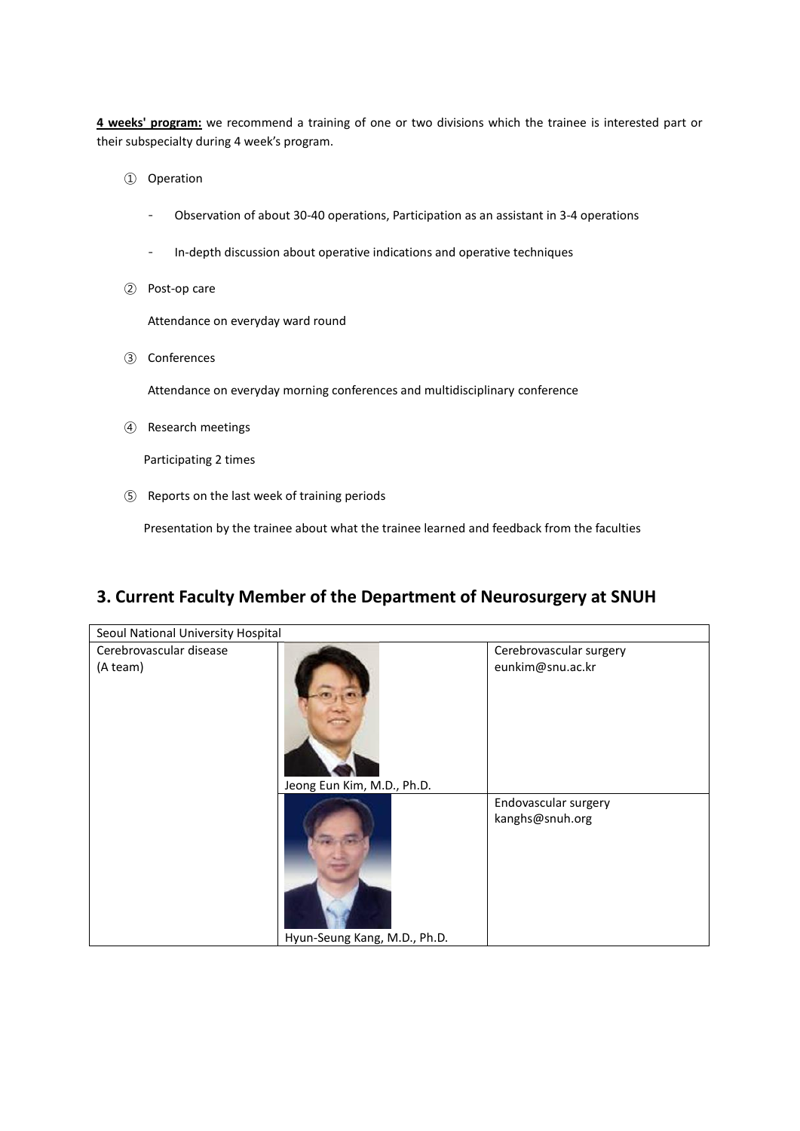**4 weeks' program:** we recommend a training of one or two divisions which the trainee is interested part or their subspecialty during 4 week's program.

- ① Operation
	- Observation of about 30-40 operations, Participation as an assistant in 3-4 operations
	- In-depth discussion about operative indications and operative techniques
- ② Post-op care

Attendance on everyday ward round

③ Conferences

Attendance on everyday morning conferences and multidisciplinary conference

④ Research meetings

Participating 2 times

⑤ Reports on the last week of training periods

Presentation by the trainee about what the trainee learned and feedback from the faculties

## **3. Current Faculty Member of the Department of Neurosurgery at SNUH**

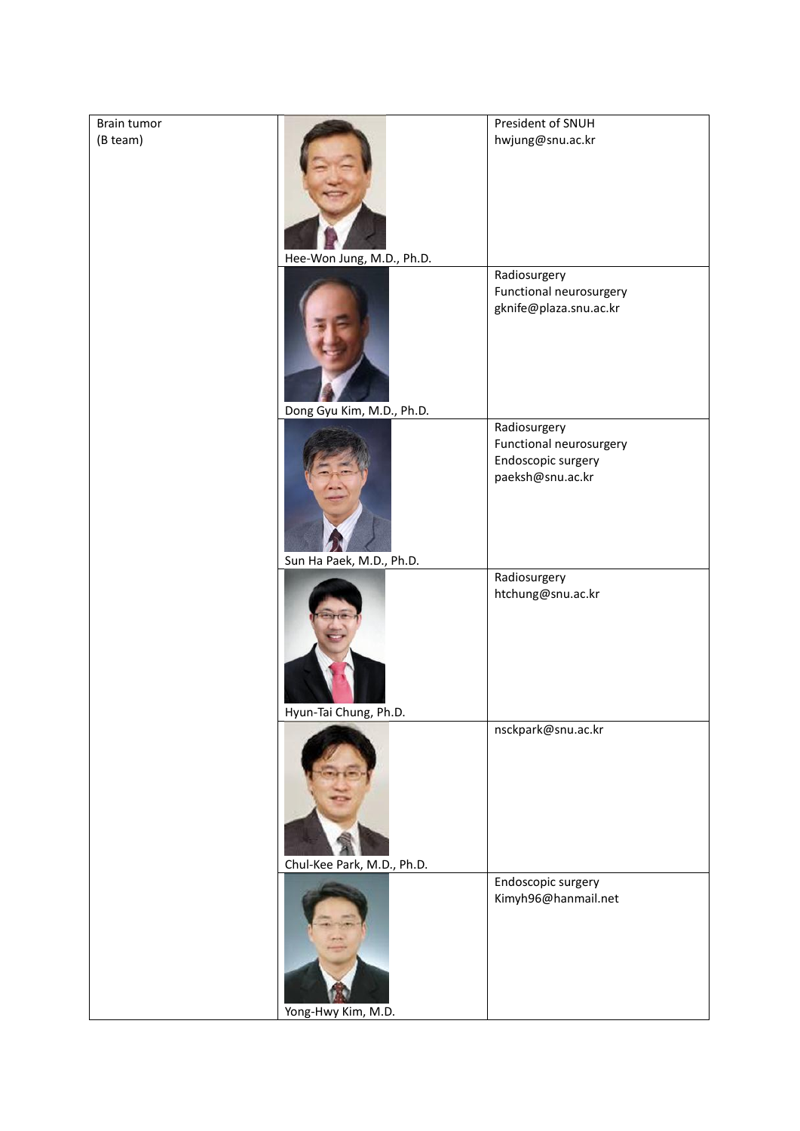| President of SNUH<br>Brain tumor<br>(B team)<br>hwjung@snu.ac.kr                  |  |
|-----------------------------------------------------------------------------------|--|
|                                                                                   |  |
| Hee-Won Jung, M.D., Ph.D.                                                         |  |
| Radiosurgery<br>Functional neurosurgery<br>gknife@plaza.snu.ac.kr                 |  |
| Dong Gyu Kim, M.D., Ph.D.                                                         |  |
| Radiosurgery<br>Functional neurosurgery<br>Endoscopic surgery<br>paeksh@snu.ac.kr |  |
| Sun Ha Paek, M.D., Ph.D.                                                          |  |
| Radiosurgery<br>htchung@snu.ac.kr                                                 |  |
| Hyun-Tai Chung, Ph.D.                                                             |  |
| nsckpark@snu.ac.kr                                                                |  |
| Chul-Kee Park, M.D., Ph.D.                                                        |  |
| Endoscopic surgery<br>Kimyh96@hanmail.net                                         |  |
| Yong-Hwy Kim, M.D.                                                                |  |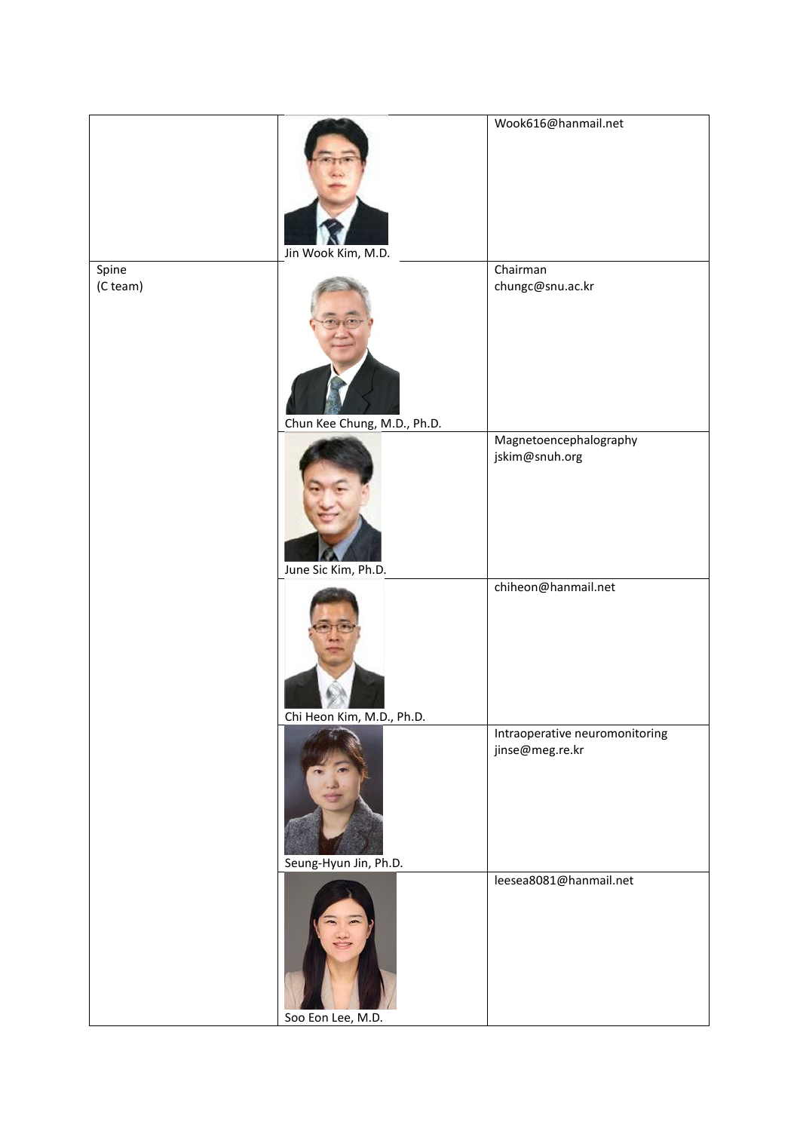|                   | Jin Wook Kim, M.D.          | Wook616@hanmail.net                               |
|-------------------|-----------------------------|---------------------------------------------------|
| Spine<br>(C team) | Chun Kee Chung, M.D., Ph.D. | Chairman<br>chungc@snu.ac.kr                      |
|                   | June Sic Kim, Ph.D.         | Magnetoencephalography<br>jskim@snuh.org          |
|                   | Chi Heon Kim, M.D., Ph.D.   | chiheon@hanmail.net                               |
|                   | Seung-Hyun Jin, Ph.D.       | Intraoperative neuromonitoring<br>jinse@meg.re.kr |
|                   | Soo Eon Lee, M.D.           | leesea8081@hanmail.net                            |